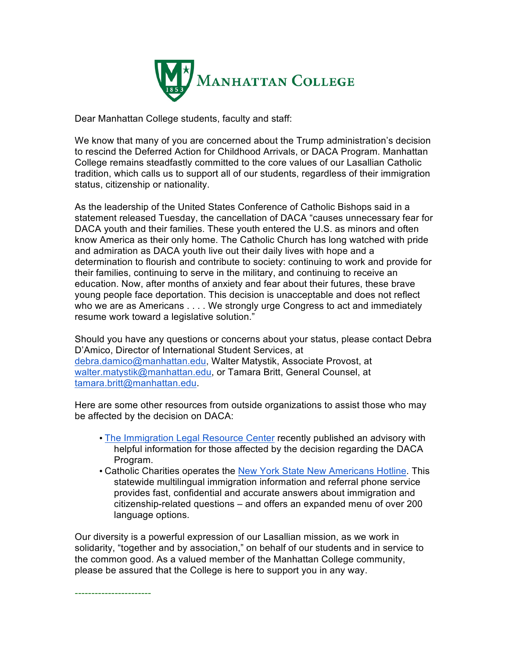

Dear Manhattan College students, faculty and staff:

We know that many of you are concerned about the Trump administration's decision to rescind the Deferred Action for Childhood Arrivals, or DACA Program. Manhattan College remains steadfastly committed to the core values of our Lasallian Catholic tradition, which calls us to support all of our students, regardless of their immigration status, citizenship or nationality.

As the leadership of the United States Conference of Catholic Bishops said in a statement released Tuesday, the cancellation of DACA "causes unnecessary fear for DACA youth and their families. These youth entered the U.S. as minors and often know America as their only home. The Catholic Church has long watched with pride and admiration as DACA youth live out their daily lives with hope and a determination to flourish and contribute to society: continuing to work and provide for their families, continuing to serve in the military, and continuing to receive an education. Now, after months of anxiety and fear about their futures, these brave young people face deportation. This decision is unacceptable and does not reflect who we are as Americans . . . . We strongly urge Congress to act and immediately resume work toward a legislative solution."

Should you have any questions or concerns about your status, please contact Debra D'Amico, Director of International Student Services, at debra.damico@manhattan.edu, Walter Matystik, Associate Provost, at walter.matystik@manhattan.edu, or Tamara Britt, General Counsel, at tamara.britt@manhattan.edu.

Here are some other resources from outside organizations to assist those who may be affected by the decision on DACA:

- The Immigration Legal Resource Center recently published an advisory with helpful information for those affected by the decision regarding the DACA Program.
- Catholic Charities operates the New York State New Americans Hotline. This statewide multilingual immigration information and referral phone service provides fast, confidential and accurate answers about immigration and citizenship-related questions – and offers an expanded menu of over 200 language options.

Our diversity is a powerful expression of our Lasallian mission, as we work in solidarity, "together and by association," on behalf of our students and in service to the common good. As a valued member of the Manhattan College community, please be assured that the College is here to support you in any way.

-----------------------